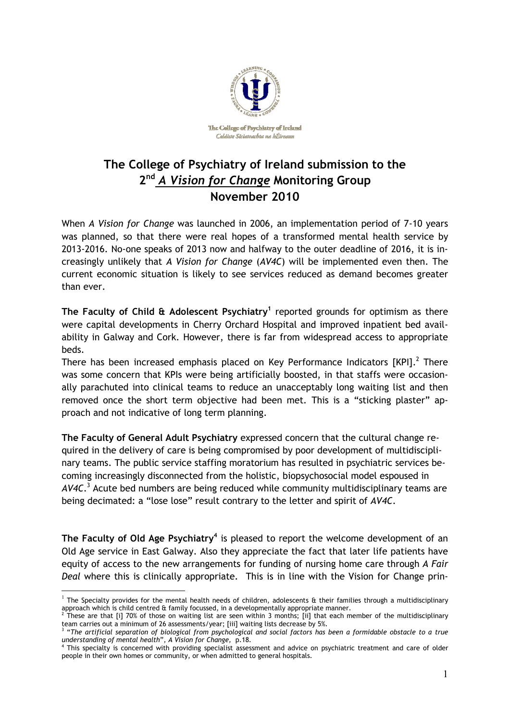

## **The College of Psychiatry of Ireland submission to the**  2<sup>nd</sup> A Vision for Change Monitoring Group **November 2010**

When *A Vision for Change* was launched in 2006, an implementation period of 7-10 years was planned, so that there were real hopes of a transformed mental health service by 2013-2016. No-one speaks of 2013 now and halfway to the outer deadline of 2016, it is increasingly unlikely that *A Vision for Change* (*AV4C*) will be implemented even then. The current economic situation is likely to see services reduced as demand becomes greater than ever.

**The Faculty of Child & Adolescent Psychiatry<sup>1</sup>** reported grounds for optimism as there were capital developments in Cherry Orchard Hospital and improved inpatient bed availability in Galway and Cork. However, there is far from widespread access to appropriate beds.

There has been increased emphasis placed on Key Performance Indicators  $[KPI].<sup>2</sup>$  There was some concern that KPIs were being artificially boosted, in that staffs were occasionally parachuted into clinical teams to reduce an unacceptably long waiting list and then removed once the short term objective had been met. This is a "sticking plaster" approach and not indicative of long term planning.

**The Faculty of General Adult Psychiatry** expressed concern that the cultural change required in the delivery of care is being compromised by poor development of multidisciplinary teams. The public service staffing moratorium has resulted in psychiatric services becoming increasingly disconnected from the holistic, biopsychosocial model espoused in *AV4C*. 3 Acute bed numbers are being reduced while community multidisciplinary teams are being decimated: a "lose lose" result contrary to the letter and spirit of *AV4C*.

The Faculty of Old Age Psychiatry<sup>4</sup> is pleased to report the welcome development of an Old Age service in East Galway. Also they appreciate the fact that later life patients have equity of access to the new arrangements for funding of nursing home care through *A Fair Deal* where this is clinically appropriate. This is in line with the Vision for Change prin-

 $\overline{a}$ 

 $^1$  The Specialty provides for the mental health needs of children, adolescents & their families through a multidisciplinary approach which is child centred & family focussed, in a developmentally appropriate manner.<br><sup>2</sup> These are that [i] 70% of these on waiting list are seen within 3 months: [ii] that each m

These are that [i] 70% of those on waiting list are seen within 3 months; [ii] that each member of the multidisciplinary team carries out a minimum of 26 assessments/year; [iii] waiting lists decrease by 5%.

<sup>&</sup>lt;sup>3</sup> "The artificial separation of biological from psychological and social factors has been a formidable obstacle to a true *understanding of mental health*", *A Vision for Change,* p.18.

<sup>4</sup> This specialty is concerned with providing specialist assessment and advice on psychiatric treatment and care of older people in their own homes or community, or when admitted to general hospitals.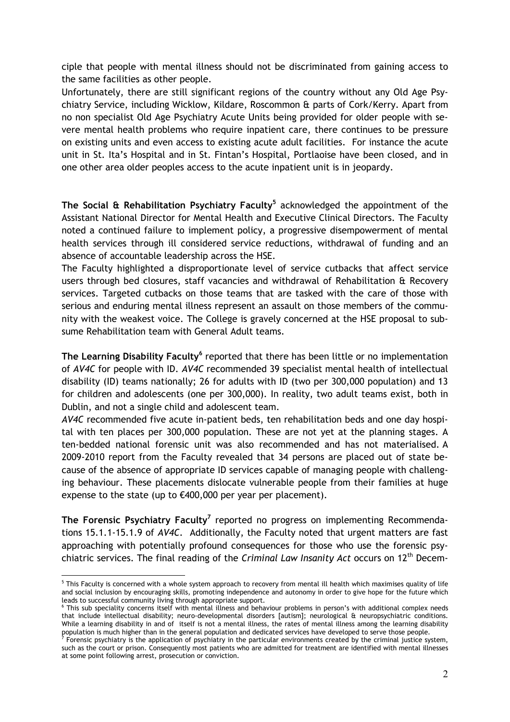ciple that people with mental illness should not be discriminated from gaining access to the same facilities as other people.

Unfortunately, there are still significant regions of the country without any Old Age Psychiatry Service, including Wicklow, Kildare, Roscommon & parts of Cork/Kerry. Apart from no non specialist Old Age Psychiatry Acute Units being provided for older people with severe mental health problems who require inpatient care, there continues to be pressure on existing units and even access to existing acute adult facilities. For instance the acute unit in St. Ita's Hospital and in St. Fintan's Hospital, Portlaoise have been closed, and in one other area older peoples access to the acute inpatient unit is in jeopardy.

**The Social & Rehabilitation Psychiatry Faculty<sup>5</sup>** acknowledged the appointment of the Assistant National Director for Mental Health and Executive Clinical Directors. The Faculty noted a continued failure to implement policy, a progressive disempowerment of mental health services through ill considered service reductions, withdrawal of funding and an absence of accountable leadership across the HSE.

The Faculty highlighted a disproportionate level of service cutbacks that affect service users through bed closures, staff vacancies and withdrawal of Rehabilitation & Recovery services. Targeted cutbacks on those teams that are tasked with the care of those with serious and enduring mental illness represent an assault on those members of the community with the weakest voice. The College is gravely concerned at the HSE proposal to subsume Rehabilitation team with General Adult teams.

The Learning Disability Faculty<sup>6</sup> reported that there has been little or no implementation of *AV4C* for people with ID. *AV4C* recommended 39 specialist mental health of intellectual disability (ID) teams nationally; 26 for adults with ID (two per 300,000 population) and 13 for children and adolescents (one per 300,000). In reality, two adult teams exist, both in Dublin, and not a single child and adolescent team.

*AV4C* recommended five acute in-patient beds, ten rehabilitation beds and one day hospital with ten places per 300,000 population. These are not yet at the planning stages. A ten-bedded national forensic unit was also recommended and has not materialised. A 2009-2010 report from the Faculty revealed that 34 persons are placed out of state because of the absence of appropriate ID services capable of managing people with challenging behaviour. These placements dislocate vulnerable people from their families at huge expense to the state (up to  $€400,000$  per year per placement).

The Forensic Psychiatry Faculty<sup>7</sup> reported no progress on implementing Recommendations 15.1.1-15.1.9 of *AV4C.* Additionally, the Faculty noted that urgent matters are fast approaching with potentially profound consequences for those who use the forensic psychiatric services. The final reading of the *Criminal Law Insanity Act* occurs on 12th Decem-

 $\overline{a}$ 

<sup>&</sup>lt;sup>5</sup> This Faculty is concerned with a whole system approach to recovery from mental ill health which maximises quality of life and social inclusion by encouraging skills, promoting independence and autonomy in order to give hope for the future which leads to successful community living through appropriate support.

<sup>6</sup> This sub speciality concerns itself with mental illness and behaviour problems in person's with additional complex needs that include intellectual disability; neuro-developmental disorders [autism]; neurological & neuropsychiatric conditions. While a learning disability in and of itself is not a mental illness, the rates of mental illness among the learning disability population is much higher than in the general population and dedicated services have developed to serve those people.<br><sup>7</sup> Forensic psychiatry is the application of psychiatry in the particular environments created by the c

such as the court or prison. Consequently most patients who are admitted for treatment are identified with mental illnesses at some point following arrest, prosecution or conviction.